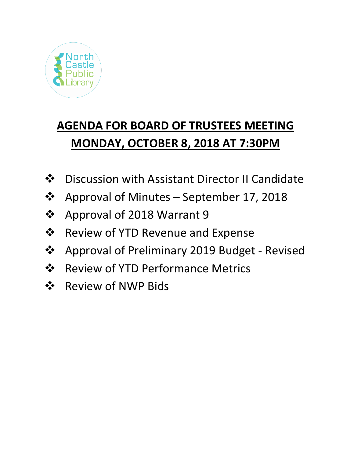

# **AGENDA FOR BOARD OF TRUSTEES MEETING MONDAY, OCTOBER 8, 2018 AT 7:30PM**

- ❖ Discussion with Assistant Director II Candidate
- Approval of Minutes September 17, 2018
- ❖ Approval of 2018 Warrant 9
- $\triangle$  Review of YTD Revenue and Expense
- Approval of Preliminary 2019 Budget Revised
- ❖ Review of YTD Performance Metrics
- ❖ Review of NWP Bids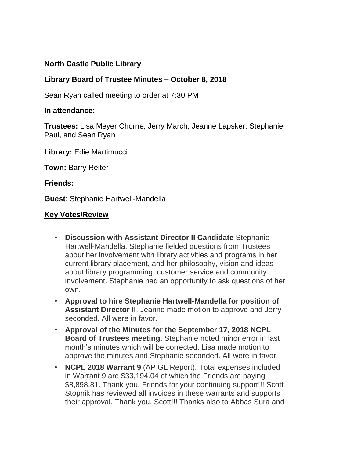## **North Castle Public Library**

## **Library Board of Trustee Minutes – October 8, 2018**

Sean Ryan called meeting to order at 7:30 PM

### **In attendance:**

**Trustees:** Lisa Meyer Chorne, Jerry March, Jeanne Lapsker, Stephanie Paul, and Sean Ryan

**Library:** Edie Martimucci

**Town:** Barry Reiter

**Friends:**

**Guest**: Stephanie Hartwell-Mandella

#### **Key Votes/Review**

- **Discussion with Assistant Director II Candidate** Stephanie Hartwell-Mandella. Stephanie fielded questions from Trustees about her involvement with library activities and programs in her current library placement, and her philosophy, vision and ideas about library programming, customer service and community involvement. Stephanie had an opportunity to ask questions of her own.
- **Approval to hire Stephanie Hartwell-Mandella for position of Assistant Director II**. Jeanne made motion to approve and Jerry seconded. All were in favor.
- **Approval of the Minutes for the September 17, 2018 NCPL Board of Trustees meeting.** Stephanie noted minor error in last month's minutes which will be corrected. Lisa made motion to approve the minutes and Stephanie seconded. All were in favor.
- **NCPL 2018 Warrant 9** (AP GL Report). Total expenses included in Warrant 9 are \$33,194.04 of which the Friends are paying \$8,898.81. Thank you, Friends for your continuing support!!! Scott Stopnik has reviewed all invoices in these warrants and supports their approval. Thank you, Scott!!! Thanks also to Abbas Sura and